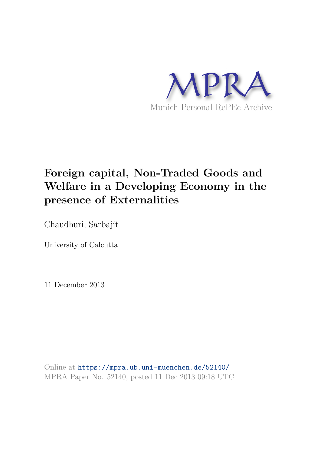

# **Foreign capital, Non-Traded Goods and Welfare in a Developing Economy in the presence of Externalities**

Chaudhuri, Sarbajit

University of Calcutta

11 December 2013

Online at https://mpra.ub.uni-muenchen.de/52140/ MPRA Paper No. 52140, posted 11 Dec 2013 09:18 UTC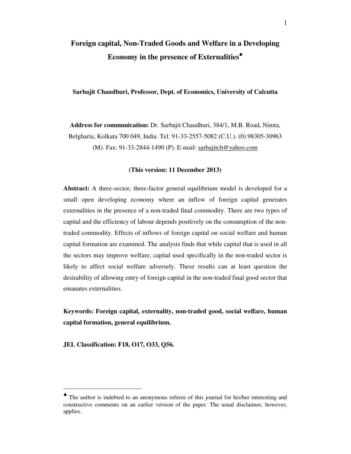# **Foreign capital, Non-Traded Goods and Welfare in a Developing Economy in the presence of Externalities**♠

## **Sarbajit Chaudhuri, Professor, Dept. of Economics, University of Calcutta**

**Address for communication:** Dr. Sarbajit Chaudhuri, 384/1, M.B. Road, Nimta, Belgharia, Kolkata 700 049, India. Tel: 91-33-2557-5082 (C.U.). (0) 98305-30963 (M). Fax: 91-33-2844-1490 (P). E-mail: sarbajitch@yahoo.com

## **(This version: 11 December 2013)**

**Abstract:** A three-sector, three-factor general equilibrium model is developed for a small open developing economy where an inflow of foreign capital generates externalities in the presence of a non-traded final commodity. There are two types of capital and the efficiency of labour depends positively on the consumption of the nontraded commodity. Effects of inflows of foreign capital on social welfare and human capital formation are examined. The analysis finds that while capital that is used in all the sectors may improve welfare; capital used specifically in the non-traded sector is likely to affect social welfare adversely. These results can at least question the desirability of allowing entry of foreign capital in the non-traded final good sector that emanates externalities.

**Keywords: Foreign capital, externality, non-traded good, social welfare, human capital formation, general equilibrium.** 

**JEL Classification: F18, O17, O33, Q56.** 

<sup>♠</sup> The author is indebted to an anonymous referee of this journal for his/her interesting and constructive comments on an earlier version of the paper. The usual disclaimer, however, applies.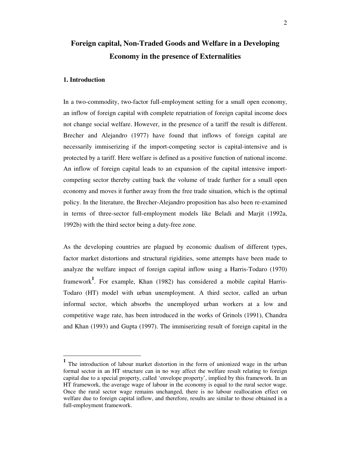# **Foreign capital, Non-Traded Goods and Welfare in a Developing Economy in the presence of Externalities**

#### **1. Introduction**

-

In a two-commodity, two-factor full-employment setting for a small open economy, an inflow of foreign capital with complete repatriation of foreign capital income does not change social welfare. However, in the presence of a tariff the result is different. Brecher and Alejandro (1977) have found that inflows of foreign capital are necessarily immiserizing if the import-competing sector is capital-intensive and is protected by a tariff. Here welfare is defined as a positive function of national income. An inflow of foreign capital leads to an expansion of the capital intensive importcompeting sector thereby cutting back the volume of trade further for a small open economy and moves it further away from the free trade situation, which is the optimal policy. In the literature, the Brecher-Alejandro proposition has also been re-examined in terms of three-sector full-employment models like Beladi and Marjit (1992a, 1992b) with the third sector being a duty-free zone.

As the developing countries are plagued by economic dualism of different types, factor market distortions and structural rigidities, some attempts have been made to analyze the welfare impact of foreign capital inflow using a Harris-Todaro (1970) framework**<sup>1</sup>** . For example, Khan (1982) has considered a mobile capital Harris-Todaro (HT) model with urban unemployment. A third sector, called an urban informal sector, which absorbs the unemployed urban workers at a low and competitive wage rate, has been introduced in the works of Grinols (1991), Chandra and Khan (1993) and Gupta (1997). The immiserizing result of foreign capital in the

**<sup>1</sup>** The introduction of labour market distortion in the form of unionized wage in the urban formal sector in an HT structure can in no way affect the welfare result relating to foreign capital due to a special property, called 'envelope property', implied by this framework. In an HT framework, the average wage of labour in the economy is equal to the rural sector wage. Once the rural sector wage remains unchanged, there is no labour reallocation effect on welfare due to foreign capital inflow, and therefore, results are similar to those obtained in a full-employment framework.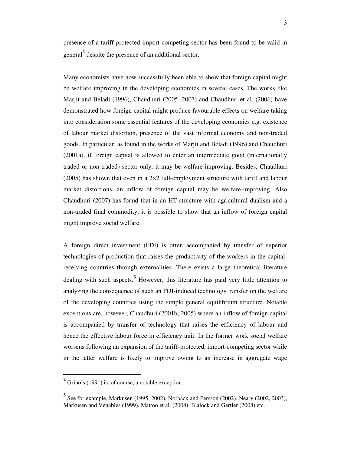presence of a tariff protected import competing sector has been found to be valid in general**<sup>2</sup>** despite the presence of an additional sector.

Many economists have now successfully been able to show that foreign capital might be welfare improving in the developing economies in several cases. The works like Marjit and Beladi (1996), Chaudhuri (2005, 2007) and Chaudhuri et al. (2006) have demonstrated how foreign capital might produce favourable effects on welfare taking into consideration some essential features of the developing economies e.g. existence of labour market distortion, presence of the vast informal economy and non-traded goods. In particular, as found in the works of Marjit and Beladi (1996) and Chaudhuri (2001a), if foreign capital is allowed to enter an intermediate good (internationally traded or non-traded) sector only, it may be welfare-improving. Besides, Chaudhuri  $(2005)$  has shown that even in a 2 $\times$ 2 full-employment structure with tariff and labour market distortions, an inflow of foreign capital may be welfare-improving. Also Chaudhuri (2007) has found that in an HT structure with agricultural dualism and a non-traded final commodity, it is possible to show that an inflow of foreign capital might improve social welfare.

A foreign direct investment (FDI) is often accompanied by transfer of superior technologies of production that raises the productivity of the workers in the capitalreceiving countries through externalities. There exists a large theoretical literature dealing with such aspects.**<sup>3</sup>** However, this literature has paid very little attention to analyzing the consequence of such an FDI-induced technology transfer on the welfare of the developing countries using the simple general equilibrium structure. Notable exceptions are, however, Chaudhuri (2001b, 2005) where an inflow of foreign capital is accompanied by transfer of technology that raises the efficiency of labour and hence the effective labour force in efficiency unit. In the former work social welfare worsens following an expansion of the tariff-protected, import-competing sector while in the latter welfare is likely to improve owing to an increase in aggregate wage

<sup>&</sup>lt;sup>2</sup> Grinols (1991) is, of course, a notable exception.

**<sup>3</sup>** See for example, Markusen (1995, 2002), Norback and Persson (2002), Neary (2002, 2003), Markusen and Venables (1999), Mattoo et al. (2004), Blalock and Gertler (2008) etc.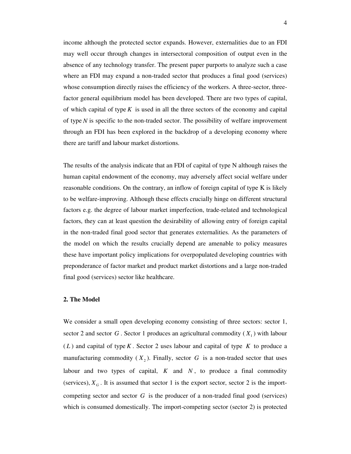income although the protected sector expands. However, externalities due to an FDI may well occur through changes in intersectoral composition of output even in the absence of any technology transfer. The present paper purports to analyze such a case where an FDI may expand a non-traded sector that produces a final good (services) whose consumption directly raises the efficiency of the workers. A three-sector, threefactor general equilibrium model has been developed. There are two types of capital, of which capital of type *K* is used in all the three sectors of the economy and capital of type *N* is specific to the non-traded sector. The possibility of welfare improvement through an FDI has been explored in the backdrop of a developing economy where there are tariff and labour market distortions.

The results of the analysis indicate that an FDI of capital of type N although raises the human capital endowment of the economy, may adversely affect social welfare under reasonable conditions. On the contrary, an inflow of foreign capital of type K is likely to be welfare-improving. Although these effects crucially hinge on different structural factors e.g. the degree of labour market imperfection, trade-related and technological factors, they can at least question the desirability of allowing entry of foreign capital in the non-traded final good sector that generates externalities. As the parameters of the model on which the results crucially depend are amenable to policy measures these have important policy implications for overpopulated developing countries with preponderance of factor market and product market distortions and a large non-traded final good (services) sector like healthcare.

#### **2. The Model**

We consider a small open developing economy consisting of three sectors: sector 1, sector 2 and sector  $G$ . Sector 1 produces an agricultural commodity  $(X_1)$  with labour ( *L* ) and capital of type *K* . Sector 2 uses labour and capital of type *K* to produce a manufacturing commodity  $(X_2)$ . Finally, sector G is a non-traded sector that uses labour and two types of capital,  $K$  and  $N$ , to produce a final commodity (services),  $X_G$ . It is assumed that sector 1 is the export sector, sector 2 is the importcompeting sector and sector *G* is the producer of a non-traded final good (services) which is consumed domestically. The import-competing sector (sector 2) is protected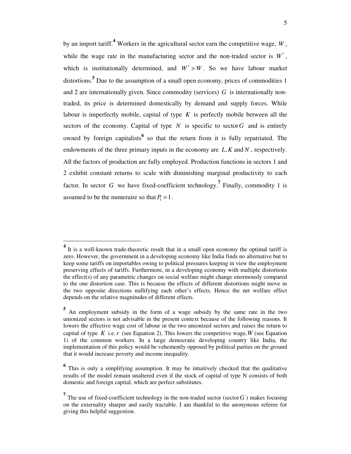by an import tariff.**<sup>4</sup>** Workers in the agricultural sector earn the competitive wage, *W* , while the wage rate in the manufacturing sector and the non-traded sector is  $W^*$ , which is institutionally determined, and  $W^* > W$ . So we have labour market distortions.**<sup>5</sup>** Due to the assumption of a small open economy, prices of commodities 1 and 2 are internationally given. Since commodity (services) *G* is internationally nontraded, its price is determined domestically by demand and supply forces. While labour is imperfectly mobile, capital of type *K* is perfectly mobile between all the sectors of the economy. Capital of type  $N$  is specific to sector  $G$  and is entirely owned by foreign capitalists<sup>6</sup> so that the return from it is fully repatriated. The endowments of the three primary inputs in the economy are *L K*, and *N* , respectively. All the factors of production are fully employed. Production functions in sectors 1 and 2 exhibit constant returns to scale with diminishing marginal productivity to each factor. In sector *G* we have fixed-coefficient technology.<sup>7</sup> Finally, commodity 1 is assumed to be the numeraire so that  $P_1 = 1$ .

**<sup>4</sup>** It is a well-known trade-theoretic result that in a small open economy the optimal tariff is zero. However, the government in a developing economy like India finds no alternative but to keep some tariffs on importables owing to political pressures keeping in view the employment preserving effects of tariffs. Furthermore, in a developing economy with multiple distortions the effect(s) of any parametric changes on social welfare might change enormously compared to the one distortion case. This is because the effects of different distortions might move in the two opposite directions nullifying each other's effects. Hence the net welfare effect depends on the relative magnitudes of different effects.

**<sup>5</sup>** An employment subsidy in the form of a wage subsidy by the same rate in the two unionized sectors is not advisable in the present context because of the following reasons. It lowers the effective wage cost of labour in the two unionized sectors and raises the return to capital of type  $K$  i.e.  $r$  (see Equation 2). This lowers the competitive wage,  $W$  (see Equation 1) of the common workers. In a large democratic developing country like India, the implementation of this policy would be vehemently opposed by political parties on the ground that it would increase poverty and income inequality.

**<sup>6</sup>** This is only a simplifying assumption. It may be intuitively checked that the qualitative results of the model remain unaltered even if the stock of capital of type N consists of both domestic and foreign capital, which are perfect substitutes.

<sup>&</sup>lt;sup>7</sup> The use of fixed-coefficient technology in the non-traded sector (sector  $G$ ) makes focusing on the externality sharper and easily tractable. I am thankful to the anonymous referee for giving this helpful suggestion.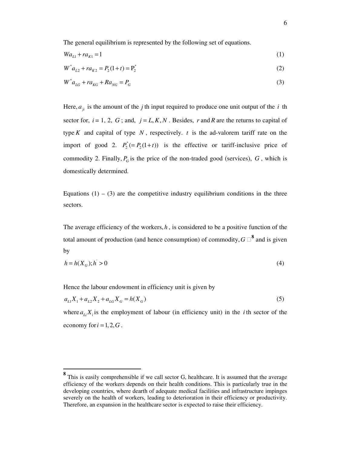The general equilibrium is represented by the following set of equations.

$$
Wa_{L1} + ra_{K1} = 1 \tag{1}
$$

$$
W^* a_{L2} + r a_{K2} = P_2(1+t) = P_2^*
$$
\n(2)

$$
W^* a_{LG} + r a_{KG} + R a_{NG} = P_G \tag{3}
$$

Here,  $a_{ji}$  is the amount of the *j* th input required to produce one unit output of the *i* th sector for,  $i = 1, 2, G$ ; and,  $j = L, K, N$ . Besides, r and R are the returns to capital of type *K* and capital of type  $N$ , respectively. *t* is the ad-valorem tariff rate on the import of good 2.  $P_2^* (= P_2(1+t))$  is the effective or tariff-inclusive price of commodity 2. Finally,  $P_G$  is the price of the non-traded good (services),  $G$ , which is domestically determined.

Equations  $(1) - (3)$  are the competitive industry equilibrium conditions in the three sectors.

The average efficiency of the workers,  $h$ , is considered to be a positive function of the total amount of production (and hence consumption) of commodity,  $G \Box^8$  and is given by

$$
h = h(X_G); h > 0 \tag{4}
$$

Hence the labour endowment in efficiency unit is given by

-

$$
a_{L1}X_1 + a_{L2}X_2 + a_{LG}X_G = h(X_G)
$$
\n<sup>(5)</sup>

where  $a_{i}$ ,  $X_i$  is the employment of labour (in efficiency unit) in the *i*th sector of the economy for  $i = 1, 2, G$ .

**<sup>8</sup>** This is easily comprehensible if we call sector G, healthcare. It is assumed that the average efficiency of the workers depends on their health conditions. This is particularly true in the developing countries, where dearth of adequate medical facilities and infrastructure impinges severely on the health of workers, leading to deterioration in their efficiency or productivity. Therefore, an expansion in the healthcare sector is expected to raise their efficiency.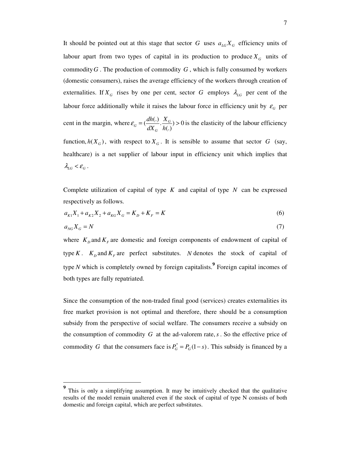It should be pointed out at this stage that sector *G* uses  $a_{LG}X_G$  efficiency units of labour apart from two types of capital in its production to produce  $X_G$  units of commodity*G* . The production of commodity *G* , which is fully consumed by workers (domestic consumers), raises the average efficiency of the workers through creation of externalities. If  $X_G$  rises by one per cent, sector G employs  $\lambda_{LG}$  per cent of the labour force additionally while it raises the labour force in efficiency unit by  $\varepsilon_G$  per cent in the margin, where  $\varepsilon_G = \left(\frac{dh(.)}{dx}, \frac{X_G}{dx}\right) > 0$ (.)  $G = \left(\frac{an(\cdot)}{dV}, \frac{AG}{dV}\right)$ *G dh X*  $dX_G$ <sup>h</sup>  $\varepsilon_a = \left(\frac{an(x)}{ax}, \frac{a}{b(x)}\right) > 0$  is the elasticity of the labour efficiency function,  $h(X_G)$ , with respect to  $X_G$ . It is sensible to assume that sector *G* (say, healthcare) is a net supplier of labour input in efficiency unit which implies that  $\lambda_{LG} < \varepsilon_G$ .

Complete utilization of capital of type *K* and capital of type *N* can be expressed respectively as follows.

$$
a_{K1}X_1 + a_{K2}X_2 + a_{K2}X_G = K_D + K_F = K
$$
\n<sup>(6)</sup>

$$
a_{NG} X_G = N \tag{7}
$$

where  $K_D$  and  $K_F$  are domestic and foreign components of endowment of capital of type *K*.  $K<sub>D</sub>$  and  $K<sub>F</sub>$  are perfect substitutes. *N* denotes the stock of capital of type *N* which is completely owned by foreign capitalists.<sup>9</sup> Foreign capital incomes of both types are fully repatriated.

Since the consumption of the non-traded final good (services) creates externalities its free market provision is not optimal and therefore, there should be a consumption subsidy from the perspective of social welfare. The consumers receive a subsidy on the consumption of commodity *G* at the ad-valorem rate,*s* . So the effective price of commodity *G* that the consumers face is  $P_G^* = P_G(1-s)$ . This subsidy is financed by a

<sup>&</sup>lt;sup>9</sup> This is only a simplifying assumption. It may be intuitively checked that the qualitative results of the model remain unaltered even if the stock of capital of type N consists of both domestic and foreign capital, which are perfect substitutes.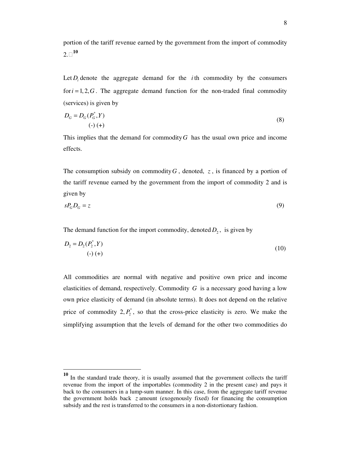portion of the tariff revenue earned by the government from the import of commodity  $2.\Box^{10}$ 

Let  $D_i$  denote the aggregate demand for the *i*th commodity by the consumers for  $i = 1, 2, G$ . The aggregate demand function for the non-traded final commodity (services) is given by

$$
D_G = D_G(P_G^*, Y)
$$
  
\n
$$
(\cdot) (\text{+})
$$
\n(8)

This implies that the demand for commodity*G* has the usual own price and income effects.

The consumption subsidy on commodity  $G$ , denoted,  $z$ , is financed by a portion of the tariff revenue earned by the government from the import of commodity 2 and is given by

$$
sP_G D_G = z \tag{9}
$$

The demand function for the import commodity, denoted  $D_2$ , is given by

$$
D_2 = D_2(P_2^*, Y) \tag{10}
$$

All commodities are normal with negative and positive own price and income elasticities of demand, respectively. Commodity *G* is a necessary good having a low own price elasticity of demand (in absolute terms). It does not depend on the relative price of commodity  $2, P_2^*$ , so that the cross-price elasticity is zero. We make the simplifying assumption that the levels of demand for the other two commodities do

**<sup>10</sup>** In the standard trade theory, it is usually assumed that the government collects the tariff revenue from the import of the importables (commodity 2 in the present case) and pays it back to the consumers in a lump-sum manner. In this case, from the aggregate tariff revenue the government holds back *z* amount (exogenously fixed) for financing the consumption subsidy and the rest is transferred to the consumers in a non-distortionary fashion.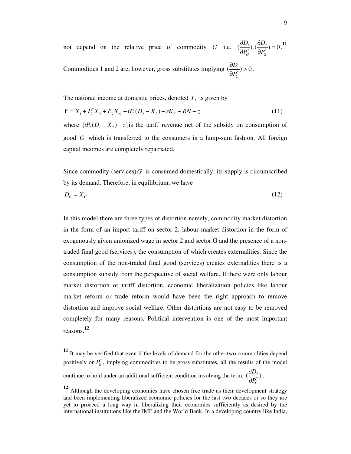not depend on the relative price of commodity *G* i.e.  $\left(\frac{\partial D_1}{\partial P_G^*}, \left(\frac{\partial D_2}{\partial P_G^*}\right) = 0\right)$  $D_{\!\scriptscriptstyle 1\,\scriptscriptstyle(\lambda)}$   $\partial D$  $P_G^*$ <sup>*P*</sup>  $\partial P_G$  $\frac{\partial D_1}{\partial \overline{\partial}}$ ,  $\left(\frac{\partial D_2}{\partial \overline{\partial}}\right)$  =  $\frac{\partial D_1}{\partial P_c^*}, \left(\frac{\partial D_2}{\partial P_c^*}\right) = 0$ .<sup>11</sup>

Commodities 1 and 2 are, however, gross substitutes implying  $\left(\frac{\partial D_1}{\partial P_2^*}\right)$  $\left(\frac{\partial D_1}{\partial \mathbf{p}^*}\right) > 0$ *P*  $\frac{\partial D_1}{\partial \varphi}$  >  $\frac{\partial D_1}{\partial P_2^*}) > 0$ .

The national income at domestic prices, denoted *Y*, is given by

$$
Y = X_1 + P_2^* X_2 + P_G X_G + tP_2(D_2 - X_2) - rK_F - RN - z \tag{11}
$$

where  $[tP_2 (D_2 - X_2) - z]$  is the tariff revenue net of the subsidy on consumption of good *G* which is transferred to the consumers in a lump-sum fashion. All foreign capital incomes are completely repatriated.

Since commodity (services) $G$  is consumed domestically, its supply is circumscribed by its demand. Therefore, in equilibrium, we have

$$
D_G = X_G \tag{12}
$$

In this model there are three types of distortion namely, commodity market distortion in the form of an import tariff on sector 2, labour market distortion in the form of exogenously given unionized wage in sector 2 and sector G and the presence of a nontraded final good (services), the consumption of which creates externalities. Since the consumption of the non-traded final good (services) creates externalities there is a consumption subsidy from the perspective of social welfare. If there were only labour market distortion or tariff distortion, economic liberalization policies like labour market reform or trade reform would have been the right approach to remove distortion and improve social welfare. Other distortions are not easy to be removed completely for many reasons. Political intervention is one of the most important reasons. **12**

continue to hold under an additional sufficient condition involving the term,  $\left(\frac{\partial D_2}{\partial \mathbf{p}^*}\right)$ *P* ∂  $\frac{\partial {\bf p}_2}{\partial P_c^*})$ .

-

*G*

**<sup>11</sup>** It may be verified that even if the levels of demand for the other two commodities depend positively on  $P_G^*$ , implying commodities to be gross substitutes, all the results of the model

**<sup>12</sup>** Although the developing economies have chosen free trade as their development strategy and been implementing liberalized economic policies for the last two decades or so they are yet to proceed a long way in liberalizing their economies sufficiently as desired by the international institutions like the IMF and the World Bank. In a developing country like India,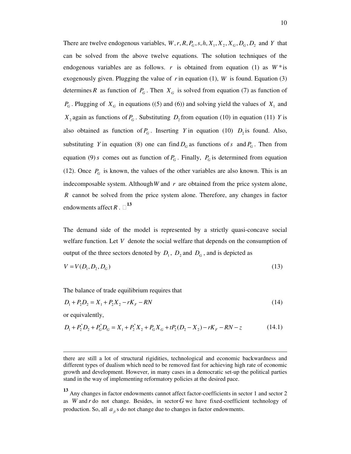There are twelve endogenous variables,  $W, r, R, P_G, s, h, X_1, X_2, X_G, D_G, D_2$  and *Y* that can be solved from the above twelve equations. The solution techniques of the endogenous variables are as follows. *r* is obtained from equation (1) as  $W^*$  is exogenously given. Plugging the value of  $r$  in equation (1),  $W$  is found. Equation (3) determines *R* as function of  $P_G$ . Then  $X_G$  is solved from equation (7) as function of  $P_G$ . Plugging of  $X_G$  in equations ((5) and (6)) and solving yield the values of  $X_1$  and  $X_2$  again as functions of  $P_G$ . Substituting  $D_2$  from equation (10) in equation (11) *Y* is also obtained as function of  $P_G$ . Inserting *Y* in equation (10)  $D_2$  is found. Also, substituting *Y* in equation (8) one can find  $D_G$  as functions of *s* and  $P_G$ . Then from equation (9) *s* comes out as function of  $P_G$ . Finally,  $P_G$  is determined from equation (12). Once  $P_G$  is known, the values of the other variables are also known. This is an indecomposable system. Although*W* and *r* are obtained from the price system alone, *R* cannot be solved from the price system alone. Therefore, any changes in factor endowments affect R .  $\Box$ <sup>13</sup>

The demand side of the model is represented by a strictly quasi-concave social welfare function. Let *V* denote the social welfare that depends on the consumption of output of the three sectors denoted by  $D_1$ ,  $D_2$  and  $D_G$ , and is depicted as

$$
V = V(D_1, D_2, D_G) \tag{13}
$$

The balance of trade equilibrium requires that

$$
D_1 + P_2 D_2 = X_1 + P_2 X_2 - rK_F - RN \tag{14}
$$

or equivalently,

$$
D_1 + P_2^* D_2 + P_6^* D_6 = X_1 + P_2^* X_2 + P_6 X_6 + tP_2 (D_2 - X_2) - rK_F - RN - z \tag{14.1}
$$

there are still a lot of structural rigidities, technological and economic backwardness and different types of dualism which need to be removed fast for achieving high rate of economic growth and development. However, in many cases in a democratic set-up the political parties stand in the way of implementing reformatory policies at the desired pace.

**<sup>13</sup>** Any changes in factor endowments cannot affect factor-coefficients in sector 1 and sector 2 as *W* and *r* do not change. Besides, in sector*G* we have fixed-coefficient technology of production. So, all  $a_{ii}$ s do not change due to changes in factor endowments.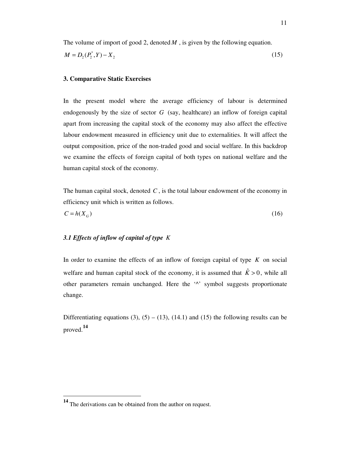The volume of import of good 2, denoted M, is given by the following equation.  
\n
$$
M = D_2(P_2^*, Y) - X_2
$$
\n(15)

## **3. Comparative Static Exercises**

In the present model where the average efficiency of labour is determined endogenously by the size of sector  $G$  (say, healthcare) an inflow of foreign capital apart from increasing the capital stock of the economy may also affect the effective labour endowment measured in efficiency unit due to externalities. It will affect the output composition, price of the non-traded good and social welfare. In this backdrop we examine the effects of foreign capital of both types on national welfare and the human capital stock of the economy.

The human capital stock, denoted *C* , is the total labour endowment of the economy in efficiency unit which is written as follows.

$$
C = h(X_G) \tag{16}
$$

# *3.1 Effects of inflow of capital of type K*

In order to examine the effects of an inflow of foreign capital of type *K* on social welfare and human capital stock of the economy, it is assumed that  $\hat{K} > 0$ , while all other parameters remain unchanged. Here the '^' symbol suggests proportionate change.

Differentiating equations (3),  $(5) - (13)$ ,  $(14.1)$  and  $(15)$  the following results can be proved.**<sup>14</sup>**

**<sup>14</sup>** The derivations can be obtained from the author on request.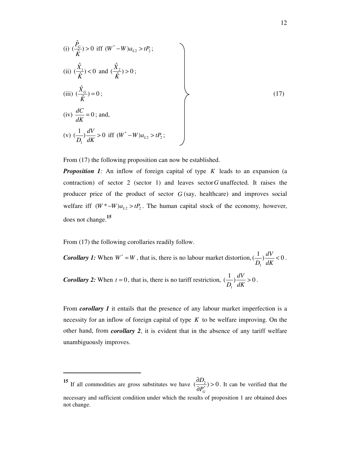(i) 
$$
(\frac{\hat{P}_G}{\hat{K}}) > 0
$$
 iff  $(W^* - W)a_{L2} > tP_2$ ;  
\n(ii)  $(\frac{\hat{X}_1}{\hat{K}}) < 0$  and  $(\frac{\hat{X}_2}{\hat{K}}) > 0$ ;  
\n(iii)  $(\frac{\hat{X}_G}{\hat{K}}) = 0$ ;  
\n(iv)  $\frac{dC}{dK} = 0$ ; and,  
\n(v)  $(\frac{1}{D_1})\frac{dV}{dK} > 0$  iff  $(W^* - W)a_{L2} > tP_2$ ;  
\n(17)

From  $(17)$  the following proposition can now be established.

*Proposition 1:* An inflow of foreign capital of type *K* leads to an expansion (a contraction) of sector 2 (sector 1) and leaves sector*G* unaffected. It raises the producer price of the product of sector *G* (say, healthcare) and improves social welfare iff  $(W^* - W)a_{L2} > tP_2$ . The human capital stock of the economy, however, does not change.**<sup>15</sup>**

From (17) the following corollaries readily follow.

<u>.</u>

*Corollary 1:* When  $W^* = W$ , that is, there is no labour market distortion, 1  $\left(\frac{1}{R}\right)\frac{dV}{dV} < 0$  $D_1^{\prime} dK$  $< 0$ . *Corollary 2:* When  $t = 0$ , that is, there is no tariff restriction, 1  $\left(\frac{1}{R}\right)\frac{dV}{dx} > 0$  $D_1$ <sup>'</sup> dK  $> 0$ .

From *corollary 1* it entails that the presence of any labour market imperfection is a necessity for an inflow of foreign capital of type *K* to be welfare improving. On the other hand, from *corollary 2*, it is evident that in the absence of any tariff welfare unambiguously improves.

<sup>&</sup>lt;sup>15</sup> If all commodities are gross substitutes we have  $\left(\frac{\partial D_2}{\partial p^*}\right) > 0$ *G D P*  $\frac{\partial D_2}{\partial \overline{\psi}}$  >  $\frac{\partial^2 D_2}{\partial P_0^*}$  > 0. It can be verified that the necessary and sufficient condition under which the results of proposition 1 are obtained does not change.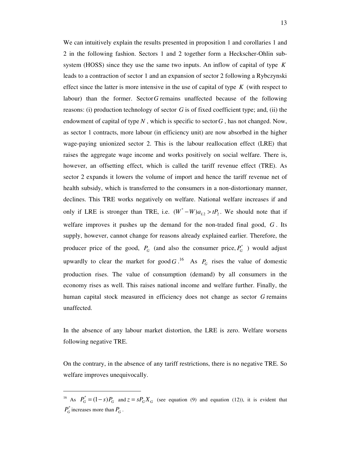We can intuitively explain the results presented in proposition 1 and corollaries 1 and 2 in the following fashion. Sectors 1 and 2 together form a Heckscher-Ohlin subsystem (HOSS) since they use the same two inputs. An inflow of capital of type *K* leads to a contraction of sector 1 and an expansion of sector 2 following a Rybczynski effect since the latter is more intensive in the use of capital of type *K* (with respect to labour) than the former. Sector*G* remains unaffected because of the following reasons: (i) production technology of sector *G* is of fixed coefficient type; and, (ii) the endowment of capital of type  $N$ , which is specific to sector  $G$ , has not changed. Now, as sector 1 contracts, more labour (in efficiency unit) are now absorbed in the higher wage-paying unionized sector 2. This is the labour reallocation effect (LRE) that raises the aggregate wage income and works positively on social welfare. There is, however, an offsetting effect, which is called the tariff revenue effect (TRE). As sector 2 expands it lowers the volume of import and hence the tariff revenue net of health subsidy, which is transferred to the consumers in a non-distortionary manner, declines. This TRE works negatively on welfare. National welfare increases if and only if LRE is stronger than TRE, i.e.  $(W^* - W)a_{L2} > tP_2$ . We should note that if welfare improves it pushes up the demand for the non-traded final good, *G* . Its supply, however, cannot change for reasons already explained earlier. Therefore, the producer price of the good,  $P_G$  (and also the consumer price,  $P_G^*$ ) would adjust upwardly to clear the market for good  $G$ .<sup>16</sup> As  $P_G$  rises the value of domestic production rises. The value of consumption (demand) by all consumers in the economy rises as well. This raises national income and welfare further. Finally, the human capital stock measured in efficiency does not change as sector *G* remains unaffected.

In the absence of any labour market distortion, the LRE is zero. Welfare worsens following negative TRE.

On the contrary, in the absence of any tariff restrictions, there is no negative TRE. So welfare improves unequivocally.

<sup>&</sup>lt;sup>16</sup> As  $P_G^* = (1-s)P_G$  and  $z = sP_GX_G$  (see equation (9) and equation (12)), it is evident that  $P_G^*$  increases more than  $P_G$ .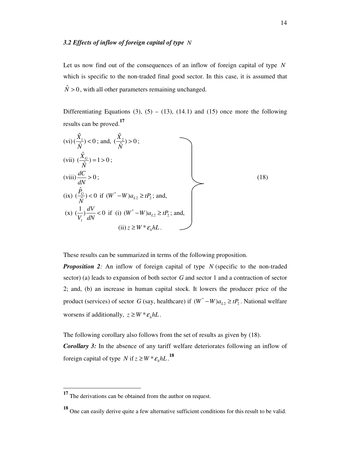Let us now find out of the consequences of an inflow of foreign capital of type *N* which is specific to the non-traded final good sector. In this case, it is assumed that  $\hat{N} > 0$ , with all other parameters remaining unchanged.

Differentiating Equations (3), (5) – (13), (14.1) and (15) once more the following results can be proved.**<sup>17</sup>**

$$
(vi) \frac{\hat{X}_1}{\hat{N}} < 0; \text{ and, } \frac{\hat{X}_2}{\hat{N}} > 0; \n(vii) \frac{\hat{X}_G}{\hat{N}} = 1 > 0; \n(viii) \frac{dC}{dN} > 0; \n(ix) \frac{\hat{P}_G}{\hat{N}} < 0 \text{ if } (W^* - W)a_{L2} \ge tP_2; \text{ and,} \n(x) \frac{1}{V_1} \frac{dV}{dN} < 0 \text{ if (i) } (W^* - W)a_{L2} \ge tP_2; \text{ and,} \n(ii) z \ge W^* \varepsilon_h hL.
$$
\n
$$
(18)
$$

These results can be summarized in terms of the following proposition.

*Proposition 2:* An inflow of foreign capital of type *N* (specific to the non-traded sector) (a) leads to expansion of both sector *G* and sector 1 and a contraction of sector 2; and, (b) an increase in human capital stock. It lowers the producer price of the product (services) of sector *G* (say, healthcare) if  $(W^* - W)a_{L2} \ge tP_2$ . National welfare worsens if additionally,  $z \ge W^* \varepsilon_h hL$ .

The following corollary also follows from the set of results as given by (18).

*Corollary 3:* In the absence of any tariff welfare deteriorates following an inflow of foreign capital of type *N* if  $z \ge W * \varepsilon_h hL$ .<sup>18</sup>

<sup>&</sup>lt;sup>17</sup> The derivations can be obtained from the author on request.

**<sup>18</sup>** One can easily derive quite a few alternative sufficient conditions for this result to be valid.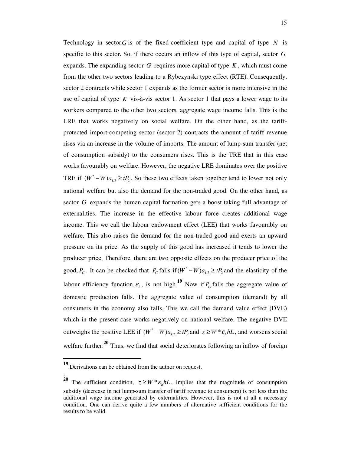Technology in sector G is of the fixed-coefficient type and capital of type  $N$  is specific to this sector. So, if there occurs an inflow of this type of capital, sector *G* expands. The expanding sector *G* requires more capital of type *K* , which must come from the other two sectors leading to a Rybczynski type effect (RTE). Consequently, sector 2 contracts while sector 1 expands as the former sector is more intensive in the use of capital of type  $K$  vis-à-vis sector 1. As sector 1 that pays a lower wage to its workers compared to the other two sectors, aggregate wage income falls. This is the LRE that works negatively on social welfare. On the other hand, as the tariffprotected import-competing sector (sector 2) contracts the amount of tariff revenue rises via an increase in the volume of imports. The amount of lump-sum transfer (net of consumption subsidy) to the consumers rises. This is the TRE that in this case works favourably on welfare. However, the negative LRE dominates over the positive TRE if  $(W^* - W)a_{L2} \ge tP_2$ . So these two effects taken together tend to lower not only national welfare but also the demand for the non-traded good. On the other hand, as sector *G* expands the human capital formation gets a boost taking full advantage of externalities. The increase in the effective labour force creates additional wage income. This we call the labour endowment effect (LEE) that works favourably on welfare. This also raises the demand for the non-traded good and exerts an upward pressure on its price. As the supply of this good has increased it tends to lower the producer price. Therefore, there are two opposite effects on the producer price of the good,  $P_G$ . It can be checked that  $P_G$  falls if  $(W^* - W)a_{L2} \ge tP_2$  and the elasticity of the labour efficiency function,  $\varepsilon_h$ , is not high.<sup>19</sup> Now if  $P_G$  falls the aggregate value of domestic production falls. The aggregate value of consumption (demand) by all consumers in the economy also falls. This we call the demand value effect (DVE) which in the present case works negatively on national welfare. The negative DVE outweighs the positive LEE if  $(W^* - W)a_{L2} \ge tP_2$  and  $z \ge W^* \varepsilon_h hL$ , and worsens social welfare further.<sup>20</sup> Thus, we find that social deteriorates following an inflow of foreign

-

.

**<sup>19</sup>** Derivations can be obtained from the author on request.

**<sup>20</sup>** The sufficient condition,  $z \geq W * \varepsilon_h hL$ , implies that the magnitude of consumption subsidy (decrease in net lump-sum transfer of tariff revenue to consumers) is not less than the additional wage income generated by externalities. However, this is not at all a necessary condition. One can derive quite a few numbers of alternative sufficient conditions for the results to be valid.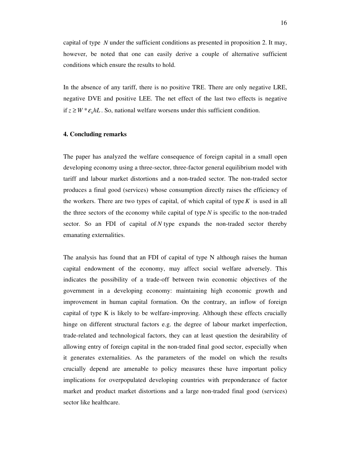capital of type *N* under the sufficient conditions as presented in proposition 2. It may, however, be noted that one can easily derive a couple of alternative sufficient conditions which ensure the results to hold.

In the absence of any tariff, there is no positive TRE. There are only negative LRE, negative DVE and positive LEE. The net effect of the last two effects is negative if  $z \ge W * \varepsilon_h hL$ . So, national welfare worsens under this sufficient condition.

#### **4. Concluding remarks**

The paper has analyzed the welfare consequence of foreign capital in a small open developing economy using a three-sector, three-factor general equilibrium model with tariff and labour market distortions and a non-traded sector. The non-traded sector produces a final good (services) whose consumption directly raises the efficiency of the workers. There are two types of capital, of which capital of type  $K$  is used in all the three sectors of the economy while capital of type *N* is specific to the non-traded sector. So an FDI of capital of *N* type expands the non-traded sector thereby emanating externalities.

The analysis has found that an FDI of capital of type N although raises the human capital endowment of the economy, may affect social welfare adversely. This indicates the possibility of a trade-off between twin economic objectives of the government in a developing economy: maintaining high economic growth and improvement in human capital formation. On the contrary, an inflow of foreign capital of type K is likely to be welfare-improving. Although these effects crucially hinge on different structural factors e.g. the degree of labour market imperfection, trade-related and technological factors, they can at least question the desirability of allowing entry of foreign capital in the non-traded final good sector, especially when it generates externalities. As the parameters of the model on which the results crucially depend are amenable to policy measures these have important policy implications for overpopulated developing countries with preponderance of factor market and product market distortions and a large non-traded final good (services) sector like healthcare.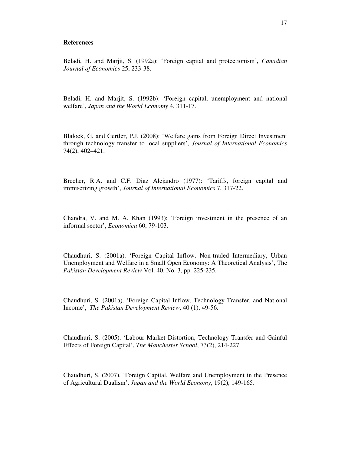#### **References**

Beladi, H. and Marjit, S. (1992a): 'Foreign capital and protectionism', *Canadian Journal of Economics* 25, 233-38.

Beladi, H. and Marjit, S. (1992b): 'Foreign capital, unemployment and national welfare', *Japan and the World Economy* 4, 311-17.

Blalock, G. and Gertler, P.J. (2008): 'Welfare gains from Foreign Direct Investment through technology transfer to local suppliers', *Journal of International Economics*  74(2), 402–421.

Brecher, R.A. and C.F. Diaz Alejandro (1977): 'Tariffs, foreign capital and immiserizing growth', *Journal of International Economics* 7, 317-22.

Chandra, V. and M. A. Khan (1993): 'Foreign investment in the presence of an informal sector', *Economica* 60, 79-103.

Chaudhuri, S. (2001a). 'Foreign Capital Inflow, Non-traded Intermediary, Urban Unemployment and Welfare in a Small Open Economy: A Theoretical Analysis', The *Pakistan Development Review* Vol. 40, No. 3, pp. 225-235.

Chaudhuri, S. (2001a). 'Foreign Capital Inflow, Technology Transfer, and National Income', *The Pakistan Development Review*, 40 (1), 49-56.

Chaudhuri, S. (2005). 'Labour Market Distortion, Technology Transfer and Gainful Effects of Foreign Capital', *The Manchester School*, 73(2), 214-227.

Chaudhuri, S. (2007). 'Foreign Capital, Welfare and Unemployment in the Presence of Agricultural Dualism', *Japan and the World Economy*, 19(2), 149-165.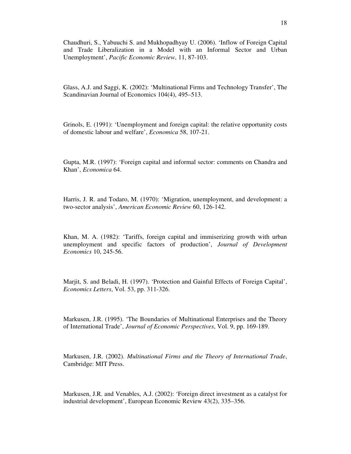Chaudhuri, S., Yabuuchi S. and Mukhopadhyay U. (2006). 'Inflow of Foreign Capital and Trade Liberalization in a Model with an Informal Sector and Urban Unemployment', *Pacific Economic Review*, 11, 87-103.

Glass, A.J. and Saggi, K. (2002): 'Multinational Firms and Technology Transfer', The Scandinavian Journal of Economics 104(4), 495–513.

Grinols, E. (1991): 'Unemployment and foreign capital: the relative opportunity costs of domestic labour and welfare', *Economica* 58, 107-21.

Gupta, M.R. (1997): 'Foreign capital and informal sector: comments on Chandra and Khan', *Economica* 64.

Harris, J. R. and Todaro, M. (1970): 'Migration, unemployment, and development: a two-sector analysis', *American Economic Review* 60, 126-142.

Khan, M. A. (1982): 'Tariffs, foreign capital and immiserizing growth with urban unemployment and specific factors of production', *Journal of Development Economics* 10, 245-56.

Marjit, S. and Beladi, H. (1997). 'Protection and Gainful Effects of Foreign Capital', *Economics Letters*, Vol. 53, pp. 311-326.

Markusen, J.R. (1995). 'The Boundaries of Multinational Enterprises and the Theory of International Trade', *Journal of Economic Perspectives*, Vol. 9, pp. 169-189.

Markusen, J.R. (2002). *Multinational Firms and the Theory of International Trade*, Cambridge: MIT Press.

Markusen, J.R. and Venables, A.J. (2002): 'Foreign direct investment as a catalyst for industrial development', European Economic Review 43(2), 335–356.